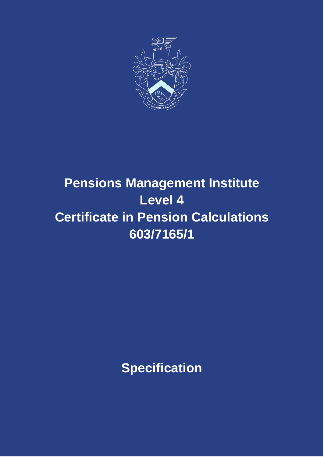

# **Pensions Management Institute Level 4 Certificate in Pension Calculations 603/7165/1**

**Specification**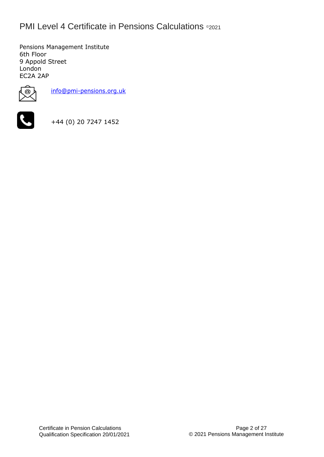### **PMI Level 4 Certificate in Pensions Calculations ©2021**

Pensions Management Institute 6th Floor 9 Appold Street London EC2A 2AP



[info@pmi-pensions.org.uk](mailto:info@pmi-pensions.org.uk)



+44 (0) 20 7247 1452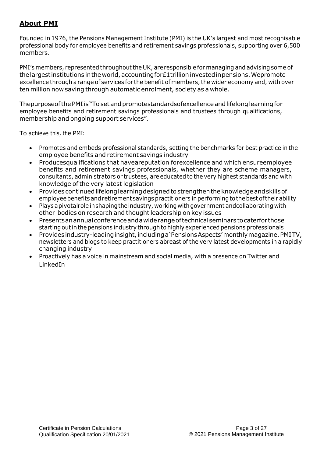#### **About PMI**

Founded in 1976, the Pensions Management Institute (PMI) is the UK's largest and most recognisable professional body for employee benefits and retirement savings professionals, supporting over 6,500 members.

PMI's members, represented throughout the UK, are responsible for managing and advising some of the largest institutions in the world, accounting for  $E$  1 trillion invested in pensions. Wepromote excellence through arange of services for the benefit of members, the wider economy and, with over ten million now saving through automatic enrolment, society as a whole.

Thepurposeof the PMI is "To set and promotestandardsofexcellence and lifelong learning for employee benefits and retirement savings professionals and trustees through qualifications, membership and ongoing support services".

To achieve this, the PMI:

- Promotes and embeds professional standards, setting the benchmarks for best practice in the employee benefits and retirement savings industry
- Producesqualifications that haveareputation forexcellence and which ensureemployee benefits and retirement savings professionals, whether they are scheme managers, consultants, administrators or trustees, are educated to the very highest standards and with knowledge of the very latest legislation
- Provides continued lifelong learning designed to strengthen the knowledge and skills of employee benefits and retirement savings practitioners in performing to the best of their ability
- Plays apivotalrole inshapingtheindustry, working withgovernment andcollaborating with other bodies on research and thought leadership on key issues
- Presentsanannualconferenceandawiderangeoftechnicalseminars tocaterforthose starting out in the pensions industry through to highly experienced pensions professionals
- Provides industry-leading insight, including a 'Pensions Aspects' monthly magazine, PMITV, newsletters and blogs to keep practitioners abreast of the very latest developments in a rapidly changing industry
- Proactively has a voice in mainstream and social media, with a presence on Twitter and LinkedIn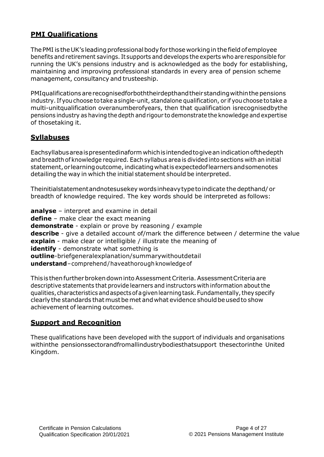#### **PMI Qualifications**

The PMI is the UK's leading professional body for those working in the field of employee benefits andretirement savings. It supports and develops the experts who areresponsible for running the UK's pensions industry and is acknowledged as the body for establishing, maintaining and improving professional standards in every area of pension scheme management, consultancy and trusteeship.

PMIqualifications are recognisedforboththeirdepthand their standing within the pensions industry. Ifyouchoose totake asingle-unit, standalone qualification, or if youchoose totake a multi-unitqualification overanumberofyears, then that qualification isrecognisedbythe pensions industry as having the depth and rigour to demonstrate the knowledge and expertise of thosetaking it.

#### **Syllabuses**

Eachsyllabusareaispresentedinaform whichisintendedtogiveanindicationofthedepth and breadth of knowledge required. Eachsyllabus area is divided into sections with an initial statement, or learning outcome, indicating what is expected of learners and somenotes detailing the way in which the initial statement should be interpreted.

Theinitialstatementandnotesusekey wordsinheavytypetoindicate thedepthand/ or breadth of knowledge required. The key words should be interpreted as follows:

**analyse** – interpret and examine in detail **define** – make clear the exact meaning **demonstrate** - explain or prove by reasoning / example **describe** - give a detailed account of/mark the difference between / determine the value **explain** - make clear or intelligible / illustrate the meaning of **identify** - demonstrate what something is **outline**-briefgeneralexplanation/summarywithoutdetail **understand**–comprehend/haveathoroughknowledgeof

ThisisthenfurtherbrokendownintoAssessmentCriteria.AssessmentCriteriaare descriptive statements that provide learners and instructors with information aboutthe qualities,characteristics andaspectsofagivenlearningtask.Fundamentally,theyspecify clearly the standards that must be met and what evidence should be used to show achievement of learning outcomes.

#### **Support and Recognition**

These qualifications have been developed with the support of individuals and organisations withinthe pensionssectorandfromallindustrybodiesthatsupport thesectorinthe United Kingdom.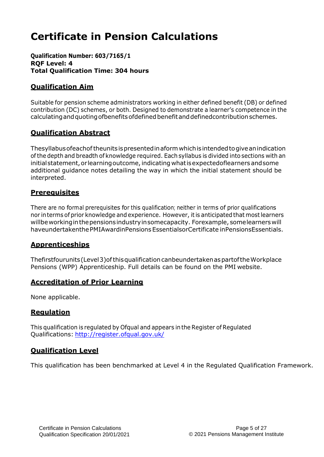## **Certificate in Pension Calculations**

**Qualification Number: 603/7165/1 RQF Level: 4 Total Qualification Time: 304 hours**

### **Qualification Aim**

Suitable for pension scheme administrators working in either defined benefit (DB) or defined contribution (DC) schemes, or both. Designed to demonstrate a learner's competence in the calculatingandquotingofbenefitsofdefinedbenefitanddefinedcontributionschemes.

#### **Qualification Abstract**

Thesyllabusofeachoftheunitsispresentedinaformwhichisintendedtogiveanindication ofthe depth and breadth of knowledge required. Each syllabus is divided into sections with an initial statement, or learning outcome, indicating what is expected of learners and some additional guidance notes detailing the way in which the initial statement should be interpreted.

#### **Prerequisites**

There are no formal prerequisites for this qualification; neither in terms of prior qualifications nor interms of prior knowledge and experience. However, itis anticipatedthat mostlearners willbeworkinginthepensionsindustryinsomecapacity. Forexample, somelearnerswill haveundertakenthePMIAwardinPensionsEssentialsorCertificate inPensionsEssentials.

#### **Apprenticeships**

Thefirstfourunits(Level3)ofthisqualificationcanbeundertakenaspartoftheWorkplace Pensions (WPP) Apprenticeship. Full details can be found on the PMI website.

#### **Accreditation of Prior Learning**

None applicable.

#### **Regulation**

This qualification is regulated by Ofqual and appears in the Register of Regulated Qualifications: <http://register.ofqual.gov.uk/>

#### **Qualification Level**

This qualification has been benchmarked at Level 4 in the Regulated Qualification Framework.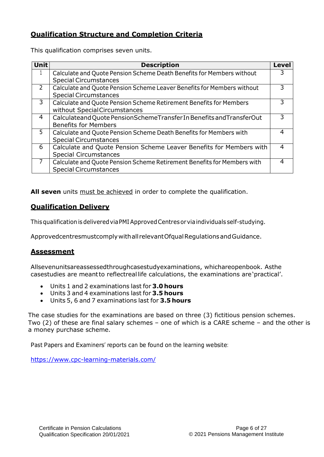#### **Qualification Structure and Completion Criteria**

This qualification comprises seven units.

| <b>Unit</b> | <b>Description</b>                                                      | Level |
|-------------|-------------------------------------------------------------------------|-------|
|             | Calculate and Quote Pension Scheme Death Benefits for Members without   | 3     |
|             | <b>Special Circumstances</b>                                            |       |
| 2           | Calculate and Quote Pension Scheme Leaver Benefits for Members without  | 3     |
|             | <b>Special Circumstances</b>                                            |       |
| 3           | Calculate and Quote Pension Scheme Retirement Benefits for Members      | 3     |
|             | without SpecialCircumstances                                            |       |
| 4           | Calculateand Quote PensionSchemeTransfer In Benefits and TransferOut    | 3     |
|             | <b>Benefits for Members</b>                                             |       |
| 5           | Calculate and Quote Pension Scheme Death Benefits for Members with      | 4     |
|             | <b>Special Circumstances</b>                                            |       |
| 6           | Calculate and Quote Pension Scheme Leaver Benefits for Members with     |       |
|             | <b>Special Circumstances</b>                                            |       |
| 7           | Calculate and Quote Pension Scheme Retirement Benefits for Members with | 4     |
|             | <b>Special Circumstances</b>                                            |       |

All seven units must be achieved in order to complete the qualification.

#### **Qualification Delivery**

ThisqualificationisdeliveredviaPMIApprovedCentresorviaindividuals self-studying.

Approvedcentresmustcomplywithall relevantOfqualRegulationsandGuidance.

#### **Assessment**

Allsevenunitsareassessedthroughcasestudyexaminations, whichareopenbook. Asthe casestudies are meantto reflectreallife calculations, the examinations are'practical'.

- Units 1 and 2 examinations last for **3.0 hours**
- Units 3 and 4 examinations last for **3.5 hours**
- Units 5, 6 and 7 examinations last for **3.5 hours**

The case studies for the examinations are based on three (3) fictitious pension schemes. Two (2) of these are final salary schemes – one of which is a CARE scheme – and the other is a money purchase scheme.

Past Papers and Examiners' reports can be found on the learning website:

<https://www.cpc-learning-materials.com/>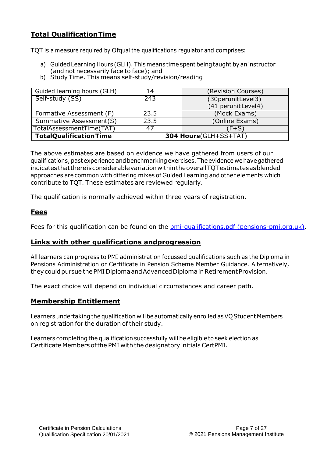#### **Total QualificationTime**

TQT is a measure required by Ofqual the qualifications regulator and comprises:

- a) Guided Learning Hours (GLH). This means time spent beingtaught by an instructor (and not necessarily face to face); and
- b) Study Time. This means self-study/revision/reading

| Guided learning hours (GLH)   | 14                    | (Revision Courses)   |  |  |
|-------------------------------|-----------------------|----------------------|--|--|
| Self-study (SS)               | 243                   | (30perunitLevel3)    |  |  |
|                               |                       | (41 perunit Level 4) |  |  |
| Formative Assessment (F)      | 23.5                  | (Mock Exams)         |  |  |
| Summative Assessment(S)       | 23.5                  | (Online Exams)       |  |  |
| TotalAssessmentTime(TAT)      | $(F+S)$<br>47         |                      |  |  |
| <b>TotalQualificationTime</b> | 304 Hours(GLH+SS+TAT) |                      |  |  |

The above estimates are based on evidence we have gathered from users of our qualifications, past experience and benchmarking exercises. Theevidence wehavegathered indicates thatthereisconsiderablevariationwithintheoverallTQTestimatesasblended approaches are common with differing mixes of Guided Learning and other elements which contribute to TQT. These estimates are reviewed regularly.

The qualification is normally achieved within three years of registration.

#### **Fees**

Fees for this qualification can be found on the [pmi-qualifications.pdf \(pensions-pmi.org.uk\).](https://www.pensions-pmi.org.uk/media/0vydtmpp/pmi-qualifications.pdf)

#### **Links with other qualifications andprogression**

All learners can progress to PMI administration focussed qualifications such as the Diploma in Pensions Administration or Certificate in Pension Scheme Member Guidance. Alternatively, they could pursue the PMI Diploma and Advanced Diploma in Retirement Provision.

The exact choice will depend on individual circumstances and career path.

#### **Membership Entitlement**

Learners undertaking the qualification will be automatically enrolled as VQ Student Members on registration for the duration of their study.

Learners completing the qualification successfully will be eligible to seek election as Certificate Members ofthe PMI with the designatory initials CertPMI.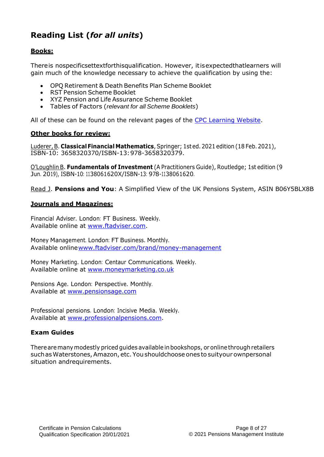### **Reading List (***for all units***)**

#### **Books:**

Thereis nospecificsettextforthisqualification. However, itisexpectedthatlearners will gain much of the knowledge necessary to achieve the qualification by using the:

- OPQ Retirement & Death Benefits Plan Scheme Booklet
- RST Pension Scheme Booklet
- XYZ Pension and Life Assurance Scheme Booklet
- Tables of Factors (*relevant for all Scheme Booklets*)

All of these can be found on the relevant pages of the [CPC Learning Website.](http://cpc-learning-materials.com/)

#### **Other books for review:**

Luderer,B. **ClassicalFinancial Mathematics**,Springer; 1sted.2021 edition (18 Feb.2021), ISBN-10: 3658320370/ISBN-13:978-3658320379.

O'Loughlin B. **Fundamentals of Investment** (A Practitioners Guide), Routledge; 1st edition (9 Jun. 2019), ISBN-10: 1138061620X/ISBN-13: 978-1138061620.

Read J. **Pensions and You**: A Simplified View of the UK Pensions System, ASIN B06Y5BLX8B

#### **Journals and Magazines:**

Financial Adviser. London: FT Business. Weekly. Available online at [www.ftadviser.com.](http://www.ftadviser.com/)

Money Management. London: FT Business. Monthly. Available onlin[ewww.ftadviser.com/brand/money-management](http://www.ftadviser.com/brand/money-management)

Money Marketing. London: Centaur Communications. Weekly. Available online at [www.moneymarketing.co.uk](http://www.moneymarketing.co.uk/)

Pensions Age. London: Perspective. Monthly. Available at [www.pensionsage.com](http://www.pensionsage.com/)

Professional pensions. London: Incisive Media. Weekly. Available at [www.professionalpensions.com.](http://www.professionalpensions.com/)

#### **Exam Guides**

Therearemanymodestly priced guides available inbookshops, or onlinethroughretailers such as Waterstones, Amazon, etc. You shouldchoose ones to suityour ownpersonal situation andrequirements.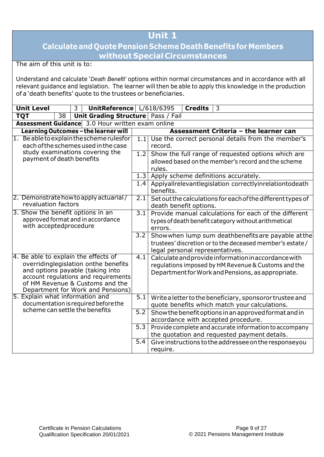### **Calculateand Quote PensionScheme DeathBenefits forMembers without Special Circumstances**

The aim of this unit is to:

Understand and calculate '*Death Benefit'* options within normal circumstances and in accordance with all relevant guidance and legislation. The learner will then be able to apply this knowledge in the production of a 'death benefits' quote to the trustees or beneficiaries.

| <b>Unit Level</b>                                                                                                                                   | 3 <sup>7</sup> | UnitReference L/618/6395                                                  |                  |                                                                                                                          | <b>Credits</b> | 3                                                                                                         |                                                                                                                  |
|-----------------------------------------------------------------------------------------------------------------------------------------------------|----------------|---------------------------------------------------------------------------|------------------|--------------------------------------------------------------------------------------------------------------------------|----------------|-----------------------------------------------------------------------------------------------------------|------------------------------------------------------------------------------------------------------------------|
| $\overline{38}$<br><b>TQT</b>                                                                                                                       |                | Unit Grading Structure   Pass / Fail                                      |                  |                                                                                                                          |                |                                                                                                           |                                                                                                                  |
| <b>Assessment Guidance</b> 3.0 Hour written exam online                                                                                             |                |                                                                           |                  |                                                                                                                          |                |                                                                                                           |                                                                                                                  |
| Learning Outcomes - the learner will                                                                                                                |                |                                                                           |                  |                                                                                                                          |                | Assessment Criteria - the learner can                                                                     |                                                                                                                  |
| 1. Be able to explain the scheme rulesfor<br>each of the schemes used in the case                                                                   |                |                                                                           | 1.1              | record.                                                                                                                  |                |                                                                                                           | Use the correct personal details from the member's                                                               |
| study examinations covering the<br>payment of death benefits                                                                                        |                |                                                                           | 1.2              | rules.                                                                                                                   |                | allowed based on the member's record and the scheme                                                       | Show the full range of requested options which are                                                               |
|                                                                                                                                                     |                |                                                                           | $\overline{1.3}$ |                                                                                                                          |                | Apply scheme definitions accurately.                                                                      |                                                                                                                  |
|                                                                                                                                                     |                |                                                                           | 1.4              | benefits.                                                                                                                |                |                                                                                                           | Applyallrelevantlegislation correctlyinrelationtodeath                                                           |
| 2. Demonstrate how to apply actuarial/<br>revaluation factors                                                                                       |                |                                                                           | 2.1              | death benefit options.                                                                                                   |                |                                                                                                           | Set out the calculations for each of the different types of                                                      |
| 3. Show the benefit options in an<br>approved format and in accordance<br>with acceptedprocedure                                                    |                |                                                                           |                  | Provide manual calculations for each of the different<br>types of death benefit category without arithmetical<br>errors. |                |                                                                                                           |                                                                                                                  |
|                                                                                                                                                     |                |                                                                           | 3.2              | legal personal representatives.                                                                                          |                |                                                                                                           | Show when lump sum deathbenefits are payable at the<br>trustees' discretion or to the deceased member's estate / |
| 4. Be able to explain the effects of<br>overridinglegislation onthe benefits<br>and options payable (taking into<br>of HM Revenue & Customs and the |                | account regulations and requirements<br>Department for Work and Pensions) | 4.1              |                                                                                                                          |                | Calculate and provide information in accordance with<br>Department for Work and Pensions, as appropriate. | regulations imposed by HM Revenue & Customs and the                                                              |
| 5. Explain what information and<br>documentation is required before the                                                                             |                |                                                                           | $\overline{5.1}$ |                                                                                                                          |                | quote benefits which match your calculations.                                                             | Write a letter to the beneficiary, sponsoror trustee and                                                         |
| scheme can settle the benefits                                                                                                                      |                |                                                                           | 5.2              |                                                                                                                          |                | accordance with accepted procedure.                                                                       | Show the benefit options in an approved format and in                                                            |
|                                                                                                                                                     |                |                                                                           | $\overline{5.3}$ |                                                                                                                          |                | the quotation and requested payment details.                                                              | Provide complete and accurate information to accompany                                                           |
|                                                                                                                                                     |                |                                                                           | $\overline{5.4}$ | require.                                                                                                                 |                |                                                                                                           | Give instructions to the addressee on the responseyou                                                            |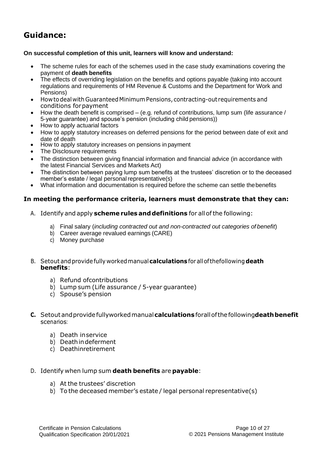#### **On successful completion of this unit, learners will know and understand:**

- The scheme rules for each of the schemes used in the case study examinations covering the payment of **death benefits**
- The effects of overriding legislation on the benefits and options payable (taking into account regulations and requirements of HM Revenue & Customs and the Department for Work and Pensions)
- Howtodeal withGuaranteedMinimumPensions, contracting-out requirements and conditions forpayment
- $\bullet$  How the death benefit is comprised (e.g. refund of contributions, lump sum (life assurance / 5-year guarantee) and spouse's pension (including child pensions))
- How to apply actuarial factors
- How to apply statutory increases on deferred pensions for the period between date of exit and date of death
- How to apply statutory increases on pensions in payment
- The Disclosure requirements
- The distinction between giving financial information and financial advice (in accordance with the latest Financial Services and Markets Act)
- The distinction between paying lump sum benefits at the trustees' discretion or to the deceased member's estate / legal personal representative(s)
- What information and documentation is required before the scheme can settle thebenefits

#### **In meeting the performance criteria, learners must demonstrate that they can:**

- A. Identify and apply **scheme rules anddefinitions** for allofthe following:
	- a) Final salary (*including contracted out and non-contracted out categories of benefit*)
	- b) Career average revalued earnings (CARE)
	- c) Money purchase
- B. Setout andprovidefully workedmanual**calculations** forallofthefollowing**death benefits**:
	- a) Refund ofcontributions
	- b) Lump sum (Life assurance / 5-year guarantee)
	- c) Spouse's pension
- **C.** Setoutandprovidefullyworkedmanual**calculations** forallofthefollowing**deathbenefit** scenarios:
	- a) Death inservice
	- b) Deathindeferment
	- c) Deathinretirement
- D. Identify when lump sum **death benefits** are **payable**:
	- a) At the trustees' discretion
	- b) To the deceased member's estate / legal personal representative(s)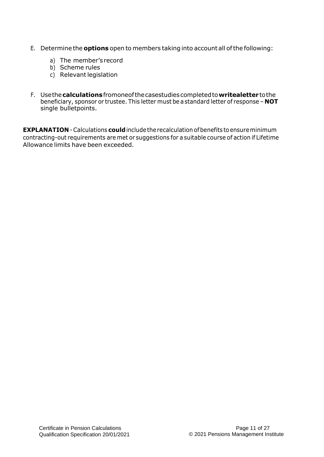- E. Determine the **options** open to members taking into account all ofthe following:
	- a) The member's record
	- b) Scheme rules
	- c) Relevant legislation
- F. Usethe**calculations**fromoneofthecasestudiescompletedto**writealetter** tothe beneficiary, sponsor or trustee. This letter must be a standard letter of response – **NOT**  single bulletpoints.

**EXPLANATION** - Calculations **could** include the recalculation of benefits to ensure minimum contracting-out requirements are met or suggestions for a suitable course of action if Lifetime Allowance limits have been exceeded.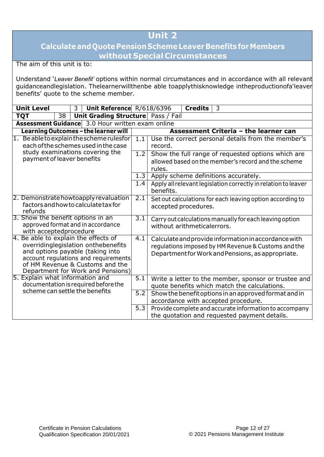### **CalculateandQuote PensionSchemeLeaver Benefits forMembers without Special Circumstances**

The aim of this unit is to:

Understand '*Leaver Benefit'* options within normal circumstances and in accordance with all relevant guidanceandlegislation. Thelearnerwillthenbe able toapplythisknowledge intheproductionofa'leaver benefits' quote to the scheme member.

|                                                               | <b>Unit Level</b>                                                                                                                                                                                                               |    | 3 | Unit Reference R/618/6396 |  |               | <b>Credits</b><br>3                                                                                                                                              |
|---------------------------------------------------------------|---------------------------------------------------------------------------------------------------------------------------------------------------------------------------------------------------------------------------------|----|---|---------------------------|--|---------------|------------------------------------------------------------------------------------------------------------------------------------------------------------------|
|                                                               | <b>TQT</b>                                                                                                                                                                                                                      | 38 |   |                           |  |               | Unit Grading Structure   Pass / Fail                                                                                                                             |
|                                                               | Assessment Guidance 3.0 Hour written exam online                                                                                                                                                                                |    |   |                           |  |               |                                                                                                                                                                  |
|                                                               | Learning Outcomes - the learner will                                                                                                                                                                                            |    |   |                           |  |               | Assessment Criteria - the learner can                                                                                                                            |
|                                                               | 1. Be able to explain the scheme rulesfor<br>each of the schemes used in the case                                                                                                                                               |    |   |                           |  | 1.1           | Use the correct personal details from the member's<br>record.                                                                                                    |
| study examinations covering the<br>payment of leaver benefits |                                                                                                                                                                                                                                 |    |   |                           |  | 1.2           | Show the full range of requested options which are<br>allowed based on the member's record and the scheme<br>rules.                                              |
|                                                               |                                                                                                                                                                                                                                 |    |   |                           |  | 1.3           | Apply scheme definitions accurately.                                                                                                                             |
|                                                               |                                                                                                                                                                                                                                 |    |   |                           |  | $1.4^{\circ}$ | Apply all relevant legislation correctly in relation to leaver<br>benefits.                                                                                      |
|                                                               | 2. Demonstrate howtoapply revaluation<br>factors and how to calculate tax for<br>refunds                                                                                                                                        |    |   |                           |  | 2.1           | Set out calculations for each leaving option according to<br>accepted procedures.                                                                                |
|                                                               | 3. Show the benefit options in an<br>approved format and in accordance<br>with acceptedprocedure                                                                                                                                |    |   |                           |  | 3.1           | Carry out calculations manually for each leaving option<br>without arithmeticalerrors.                                                                           |
|                                                               | 4. Be able to explain the effects of<br>overridinglegislation onthebenefits<br>and options payable (taking into<br>account regulations and requirements<br>of HM Revenue & Customs and the<br>Department for Work and Pensions) |    |   |                           |  | 4.1           | Calculate and provide information in accordance with<br>regulations imposed by HM Revenue & Customs and the<br>Department for Work and Pensions, as appropriate. |
|                                                               | 5. Explain what information and<br>documentation is required before the                                                                                                                                                         |    |   |                           |  | 5.1           | Write a letter to the member, sponsor or trustee and<br>quote benefits which match the calculations.                                                             |
|                                                               | scheme can settle the benefits                                                                                                                                                                                                  |    |   |                           |  | 5.2           | Show the benefit options in an approved format and in<br>accordance with accepted procedure.                                                                     |
|                                                               |                                                                                                                                                                                                                                 |    |   |                           |  | 5.3           | Provide complete and accurate information to accompany<br>the quotation and requested payment details.                                                           |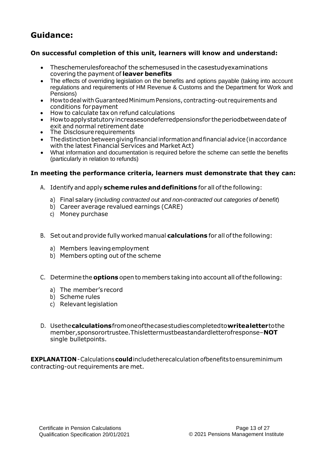#### **On successful completion of this unit, learners will know and understand:**

- Theschemerulesforeachof the schemesused in the casestudyexaminations covering the payment of **leaver benefits**
- The effects of overriding legislation on the benefits and options payable (taking into account regulations and requirements of HM Revenue & Customs and the Department for Work and Pensions)
- Howtodeal with GuaranteedMinimumPensions, contracting-out requirements and conditions forpayment
- How to calculate tax on refund calculations
- Howto apply statutory increasesondeferredpensionsfor the periodbetweendate of exit and normal retirement date
- The Disclosure requirements
- The distinction between giving financial information and financial advice (in accordance with the latest Financial Services and Market Act)
- What information and documentation is required before the scheme can settle the benefits (particularly in relation to refunds)

#### **In meeting the performance criteria, learners must demonstrate that they can:**

- A. Identifyand apply **scheme rules anddefinitions** for all ofthe following:
	- a) Final salary (*including contracted out and non-contracted out categories of benefit*)
	- b) Career average revalued earnings (CARE)
	- c) Money purchase
- B. Set outandprovide fully workedmanual **calculations** for all ofthe following:
	- a) Members leavingemployment
	- b) Members opting out ofthe scheme
- C. Determine the **options** open to members taking into account all ofthe following:
	- a) The member's record
	- b) Scheme rules
	- c) Relevant legislation
- D. Usethe**calculations**fromoneofthecasestudiescompletedto**writealetter**tothe member,sponsorortrustee.Thislettermustbeastandardletterofresponse–**NOT**  single bulletpoints.

**EXPLANATION**-Calculations **could**includetherecalculation ofbenefitstoensureminimum contracting-out requirements are met.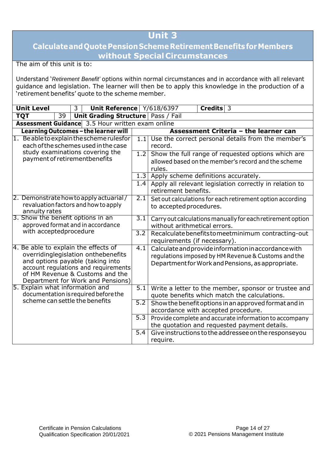### **CalculateandQuotePensionSchemeRetirementBenefitsforMembers without Special Circumstances**

The aim of this unit is to:

Understand '*Retirement Benefit'* options within normal circumstances and in accordance with all relevant guidance and legislation. The learner will then be to apply this knowledge in the production of a 'retirement benefits' quote to the scheme member.

| <b>Unit Level</b>                                                                                                                                                                                                               | $\mathbf{3}$ | Unit Reference Y/618/6397            |                  |                                                                                                                                                                  | Credits <sup>3</sup> |                                       |  |
|---------------------------------------------------------------------------------------------------------------------------------------------------------------------------------------------------------------------------------|--------------|--------------------------------------|------------------|------------------------------------------------------------------------------------------------------------------------------------------------------------------|----------------------|---------------------------------------|--|
| <b>TQT</b><br>39                                                                                                                                                                                                                |              | Unit Grading Structure   Pass / Fail |                  |                                                                                                                                                                  |                      |                                       |  |
| <b>Assessment Guidance</b> 3.5 Hour written exam online                                                                                                                                                                         |              |                                      |                  |                                                                                                                                                                  |                      |                                       |  |
| Learning Outcomes - the learner will                                                                                                                                                                                            |              |                                      |                  |                                                                                                                                                                  |                      | Assessment Criteria - the learner can |  |
| 1. Be able to explain the scheme rulesfor<br>each of the schemes used in the case                                                                                                                                               |              |                                      | 1.1              | Use the correct personal details from the member's<br>record.                                                                                                    |                      |                                       |  |
| study examinations covering the<br>payment of retirementbenefits                                                                                                                                                                |              |                                      | 1.2              | Show the full range of requested options which are<br>allowed based on the member's record and the scheme<br>rules.                                              |                      |                                       |  |
|                                                                                                                                                                                                                                 |              |                                      | 1.3              | Apply scheme definitions accurately.                                                                                                                             |                      |                                       |  |
|                                                                                                                                                                                                                                 |              |                                      | 1.4              | Apply all relevant legislation correctly in relation to<br>retirement benefits.                                                                                  |                      |                                       |  |
| 2. Demonstrate how to apply actuarial/<br>revaluation factors and how to apply<br>annuity rates                                                                                                                                 |              |                                      |                  | Set out calculations for each retirement option according<br>to accepted procedures.                                                                             |                      |                                       |  |
| 3. Show the benefit options in an<br>approved format and in accordance                                                                                                                                                          |              |                                      | $\overline{3.1}$ | Carry out calculations manually for each retirement option<br>without arithmetical errors.                                                                       |                      |                                       |  |
| with acceptedprocedure                                                                                                                                                                                                          |              |                                      | 3.2              | Recalculate benefits to meet minimum contracting-out<br>requirements (if necessary).                                                                             |                      |                                       |  |
| 4. Be able to explain the effects of<br>overridinglegislation onthebenefits<br>and options payable (taking into<br>account regulations and requirements<br>of HM Revenue & Customs and the<br>Department for Work and Pensions) |              |                                      | 4.1              | Calculate and provide information in accordance with<br>regulations imposed by HM Revenue & Customs and the<br>Department for Work and Pensions, as appropriate. |                      |                                       |  |
| 5. Explain what information and<br>documentation is required before the                                                                                                                                                         |              |                                      | 5.1              | Write a letter to the member, sponsor or trustee and<br>quote benefits which match the calculations.                                                             |                      |                                       |  |
| scheme can settle the benefits<br>$\overline{5.2}$<br>Show the benefit options in an approved format and in<br>accordance with accepted procedure.                                                                              |              |                                      |                  |                                                                                                                                                                  |                      |                                       |  |
|                                                                                                                                                                                                                                 |              |                                      | 5.3              | Provide complete and accurate information to accompany<br>the quotation and requested payment details.                                                           |                      |                                       |  |
|                                                                                                                                                                                                                                 |              |                                      | 5.4              | Give instructions to the addressee on the responseyou<br>require.                                                                                                |                      |                                       |  |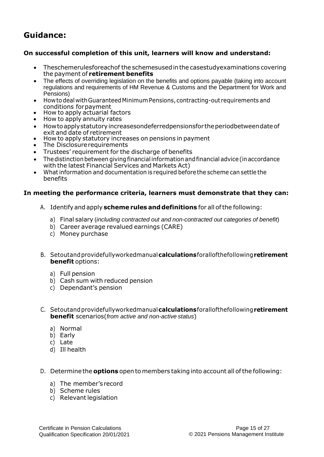#### **On successful completion of this unit, learners will know and understand:**

- Theschemerulesforeachof the schemesusedinthe casestudyexaminations covering the payment of **retirement benefits**
- The effects of overriding legislation on the benefits and options payable (taking into account regulations and requirements of HM Revenue & Customs and the Department for Work and Pensions)
- Howtodeal withGuaranteedMinimumPensions, contracting-out requirements and conditions forpayment
- How to apply actuarial factors
- How to apply annuity rates
- Howtoapplystatutoryincreasesondeferredpensionsfor theperiodbetweendateof exit and date of retirement
- How to apply statutory increases on pensions in payment
- The Disclosure requirements
- Trustees' requirement for the discharge of benefits
- Thedistinctionbetween givingfinancial informationandfinancial advice(inaccordance with the latest Financial Services and Markets Act)
- Whatinformation and documentation is required beforethe scheme can settle the benefits

#### **In meeting the performance criteria, learners must demonstrate that they can:**

- A. Identifyand apply **scheme rules anddefinitions** for all ofthe following:
	- a) Final salary (*including contracted out and non-contracted out categories of benefit*)
	- b) Career average revalued earnings (CARE)
	- c) Money purchase
- B. Setoutandprovidefullyworkedmanual**calculations**forallofthefollowing**retirement benefit** options:
	- a) Full pension
	- b) Cash sum with reduced pension
	- c) Dependant's pension
- C. Setoutandprovidefullyworkedmanual**calculations**forallofthefollowing**retirement benefit** scenarios(*from active and non-active status*)
	- a) Normal
	- b) Early
	- c) Late
	- d) Ill health
- D. Determine the **options** open to members takinginto account all ofthe following:
	- a) The member's record
	- b) Scheme rules
	- c) Relevant legislation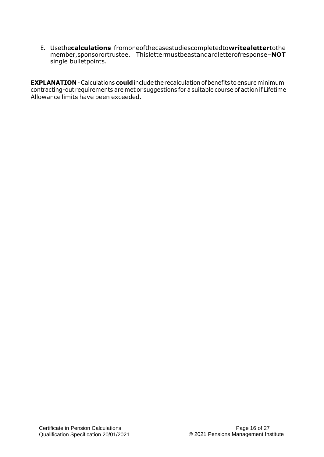E. Usethe**calculations** fromoneofthecasestudiescompletedto**writealetter**tothe member,sponsorortrustee. Thislettermustbeastandardletterofresponse–**NOT**  single bulletpoints.

**EXPLANATION**-Calculations **could**includetherecalculation of benefits toensureminimum contracting-out requirements are met or suggestions for asuitable course of action if Lifetime Allowance limits have been exceeded.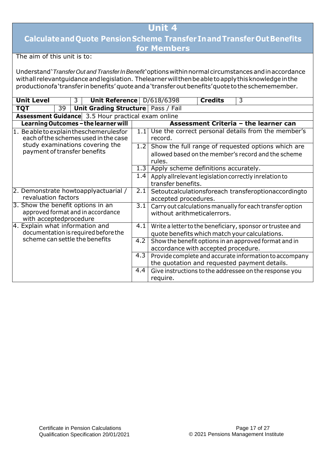### **CalculateandQuote PensionScheme TransferInandTransferOutBenefits for Members**

The aim of this unit is to:

Understand'*TransferOut and TransferInBenefit*'options withinnormalcircumstances andinaccordance withall relevantguidance and legislation. Thelearner will then be able to apply this knowledge in the productionofa'transfer in benefits' quote and a'transfer out benefits' quote to the schememember.

| <b>Unit Level</b><br>Unit Reference   D/618/6398<br>3                                            |                                      |                  |                                                                                         | <b>Credits</b>                                                                               | 3                                                                                                          |  |  |  |
|--------------------------------------------------------------------------------------------------|--------------------------------------|------------------|-----------------------------------------------------------------------------------------|----------------------------------------------------------------------------------------------|------------------------------------------------------------------------------------------------------------|--|--|--|
| <b>TQT</b><br>39                                                                                 | Unit Grading Structure   Pass / Fail |                  |                                                                                         |                                                                                              |                                                                                                            |  |  |  |
| <b>Assessment Guidance</b> 3.5 Hour practical exam online                                        |                                      |                  |                                                                                         |                                                                                              |                                                                                                            |  |  |  |
| Learning Outcomes - the learner will                                                             |                                      |                  |                                                                                         |                                                                                              | Assessment Criteria - the learner can                                                                      |  |  |  |
| 1. Be able to explain theschemerulesfor<br>each of the schemes used in the case                  |                                      | 1.11             | Use the correct personal details from the member's<br>record.                           |                                                                                              |                                                                                                            |  |  |  |
| study examinations covering the<br>payment of transfer benefits                                  |                                      | 1.2              | rules.                                                                                  |                                                                                              | Show the full range of requested options which are<br>allowed based on the member's record and the scheme  |  |  |  |
|                                                                                                  |                                      | 1.3              | Apply scheme definitions accurately.                                                    |                                                                                              |                                                                                                            |  |  |  |
|                                                                                                  |                                      | 1.4              | Apply allrelevant legislation correctly inrelation to<br>transfer benefits.             |                                                                                              |                                                                                                            |  |  |  |
| 2. Demonstrate howtoapplyactuarial /<br>revaluation factors                                      |                                      | 2.1              | Setoutcalculationsforeach transferoptionaccordingto<br>accepted procedures.             |                                                                                              |                                                                                                            |  |  |  |
| 3. Show the benefit options in an<br>approved format and in accordance<br>with acceptedprocedure |                                      | $\overline{3.1}$ | Carry out calculations manually for each transfer option<br>without arithmeticalerrors. |                                                                                              |                                                                                                            |  |  |  |
| 4. Explain what information and<br>documentation is required before the                          |                                      | 4.1              |                                                                                         |                                                                                              | Write a letter to the beneficiary, sponsor or trustee and<br>quote benefits which match your calculations. |  |  |  |
| scheme can settle the benefits                                                                   |                                      | 4.2              |                                                                                         | Show the benefit options in an approved format and in<br>accordance with accepted procedure. |                                                                                                            |  |  |  |
|                                                                                                  |                                      | 4.3              |                                                                                         |                                                                                              | Provide complete and accurate information to accompany<br>the quotation and requested payment details.     |  |  |  |
|                                                                                                  |                                      | 4.4              | require.                                                                                |                                                                                              | Give instructions to the addressee on the response you                                                     |  |  |  |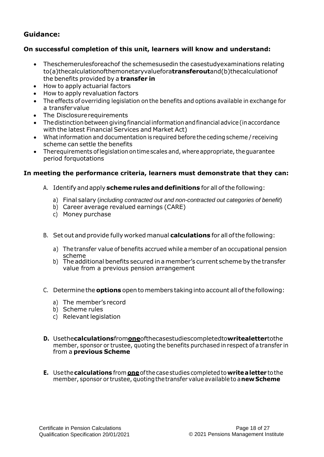#### **On successful completion of this unit, learners will know and understand:**

- Theschemerulesforeachof the schemesusedin the casestudyexaminations relating to(a)thecalculationofthemonetaryvaluefora**transferout**and(b)thecalculationof the benefits provided by a **transfer in**
- How to apply actuarial factors
- How to apply revaluation factors
- The effects of overriding legislation on the benefits and options available in exchange for a transfervalue
- The Disclosure requirements
- The distinction between giving financial information and financial advice (in accordance with the latest Financial Services and Market Act)
- Whatinformation and documentation is required before the ceding scheme / receiving scheme can settle the benefits
- Therequirements of legislation on time scales and, where appropriate, the guarantee period forquotations

#### **In meeting the performance criteria, learners must demonstrate that they can:**

- A. Identifyandapply **scheme rules anddefinitions** for all ofthe following:
	- a) Final salary (*including contracted out and non-contracted out categories of benefit*)
	- b) Career average revalued earnings (CARE)
	- c) Money purchase
- B. Set outandprovide fully worked manual **calculations** for all ofthe following:
	- a) The transfer value of benefits accrued while a member of an occupational pension scheme
	- b) The additional benefits secured in amember's current scheme by the transfer value from a previous pension arrangement
- C. Determine the **options** opento members takinginto account allofthefollowing:
	- a) The member's record
	- b) Scheme rules
	- c) Relevant legislation
- **D.** Usethe**calculations**from**one**ofthecasestudiescompletedto**writealetter**tothe member, sponsor or trustee, quoting the benefits purchased in respect of a transfer in from a **previous Scheme**
- **E.** Usethe**calculations** from **one**ofthecasestudies completedto**writealetter** tothe member, sponsor or trustee, quoting the transfer value available to a **new Scheme**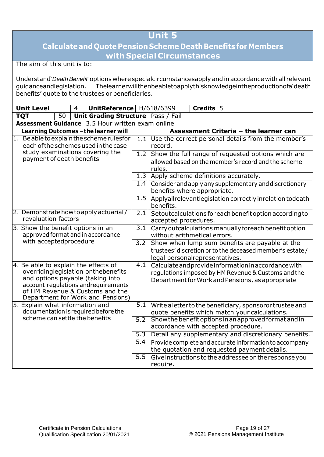### **Calculateand Quote PensionScheme DeathBenefits forMembers with Special Circumstances**

The aim of this unit is to:

Understand'*DeathBenefit'*options where specialcircumstancesapply and inaccordance withall relevant Thelearnerwillthenbeabletoapplythisknowledgeintheproductionofa'death benefits' quote to the trustees or beneficiaries.

| <b>Unit Level</b><br>$\overline{4}$                                                                                                                                                                                            |                                   |                 | UnitReference H/618/6399 |                                                  | Credits 5        |                                                                                                                                                                 |  |  |
|--------------------------------------------------------------------------------------------------------------------------------------------------------------------------------------------------------------------------------|-----------------------------------|-----------------|--------------------------|--------------------------------------------------|------------------|-----------------------------------------------------------------------------------------------------------------------------------------------------------------|--|--|
|                                                                                                                                                                                                                                | <b>TQT</b>                        | $\overline{50}$ |                          | <b>Unit Grading Structure   Pass / Fail</b>      |                  |                                                                                                                                                                 |  |  |
|                                                                                                                                                                                                                                |                                   |                 |                          | Assessment Guidance 3.5 Hour written exam online |                  |                                                                                                                                                                 |  |  |
|                                                                                                                                                                                                                                |                                   |                 |                          | Learning Outcomes - the learner will             |                  | Assessment Criteria - the learner can                                                                                                                           |  |  |
| 1. Be able to explain the scheme rulesfor<br>each of the schemes used in the case                                                                                                                                              |                                   |                 |                          |                                                  |                  | Use the correct personal details from the member's<br>1.1<br>record.                                                                                            |  |  |
|                                                                                                                                                                                                                                | payment of death benefits         |                 |                          | study examinations covering the                  | 1.2              | Show the full range of requested options which are<br>allowed based on the member's record and the scheme<br>rules.                                             |  |  |
|                                                                                                                                                                                                                                |                                   |                 |                          |                                                  | 1.3              | Apply scheme definitions accurately.                                                                                                                            |  |  |
|                                                                                                                                                                                                                                |                                   |                 |                          |                                                  |                  | 1.4 Consider and apply any supplementary and discretionary<br>benefits where appropriate.                                                                       |  |  |
|                                                                                                                                                                                                                                |                                   |                 |                          |                                                  | 1.5              | Applyallrelevantlegislation correctly inrelation todeath<br>benefits.                                                                                           |  |  |
|                                                                                                                                                                                                                                | revaluation factors               |                 |                          | 2. Demonstrate how to apply actuarial/           | 2.1              | Setoutcalculations for each benefit option according to<br>accepted procedures.                                                                                 |  |  |
|                                                                                                                                                                                                                                | 3. Show the benefit options in an |                 |                          | approved format and in accordance                | $\overline{3.1}$ | Carry outcalculations manually foreach benefit option<br>without arithmetical errors.                                                                           |  |  |
|                                                                                                                                                                                                                                | with acceptedprocedure            |                 |                          |                                                  |                  | Show when lump sum benefits are payable at the<br>trustees' discretion or to the deceased member's estate /<br>legal personalrepresentatives.                   |  |  |
| 4. Be able to explain the effects of<br>overridinglegislation onthebenefits<br>and options payable (taking into<br>account regulations andrequirements<br>of HM Revenue & Customs and the<br>Department for Work and Pensions) |                                   |                 |                          |                                                  | 4.1              | Calculate and provide information in accordance with<br>regulations imposed by HM Revenue & Customs and the<br>Department for Work and Pensions, as appropriate |  |  |
|                                                                                                                                                                                                                                | 5. Explain what information and   |                 |                          | documentation is required before the             | $\overline{5.1}$ | Write a letter to the beneficiary, sponsoror trustee and<br>quote benefits which match your calculations.                                                       |  |  |
|                                                                                                                                                                                                                                | scheme can settle the benefits    |                 |                          |                                                  | 5.2              | Show the benefit options in an approved format and in<br>accordance with accepted procedure.                                                                    |  |  |
|                                                                                                                                                                                                                                |                                   |                 |                          |                                                  | 5.3              | Detail any supplementary and discretionary benefits.                                                                                                            |  |  |
|                                                                                                                                                                                                                                |                                   |                 |                          |                                                  | $\overline{5.4}$ | Provide complete and accurate information to accompany<br>the quotation and requested payment details.                                                          |  |  |
| 5.5<br>Give instructions to the addressee on the response you<br>require.                                                                                                                                                      |                                   |                 |                          |                                                  |                  |                                                                                                                                                                 |  |  |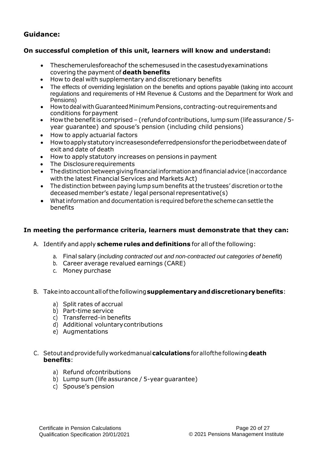#### **On successful completion of this unit, learners will know and understand:**

- Theschemerulesforeachof the schemesused in the casestudyexaminations covering the payment of **death benefits**
- How to deal with supplementary and discretionary benefits
- The effects of overriding legislation on the benefits and options payable (taking into account regulations and requirements of HM Revenue & Customs and the Department for Work and Pensions)
- Howtodeal withGuaranteedMinimumPensions,contracting-out requirements and conditions forpayment
- How the benefit is comprised (refund of contributions, lump sum (life assurance / 5year guarantee) and spouse's pension (including child pensions)
- How to apply actuarial factors
- How to apply statutory increasesondeferredpensionsfor the periodbetween date of exit and date of death
- How to apply statutory increases on pensions in payment
- The Disclosure requirements
- The distinction between giving financial information and financial advice (in accordance with the latest Financial Services and Markets Act)
- The distinction between paying lump sum benefits at the trustees' discretion or to the deceasedmember's estate / legal personal representative(s)
- Whatinformation and documentation is required before the scheme can settle the benefits

#### **In meeting the performance criteria, learners must demonstrate that they can:**

- A. Identify and apply **scheme rules anddefinitions** for allofthe following:
	- a. Final salary (*including contracted out and non-contracted out categories of benefit*)
	- b. Career average revalued earnings (CARE)
	- c. Money purchase
- B. Takeinto accountallofthe following**supplementaryanddiscretionarybenefits**:
	- a) Split rates of accrual
	- b) Part-time service
	- c) Transferred-in benefits
	- d) Additional voluntarycontributions
	- e) Augmentations

#### C. Setout andprovidefully workedmanual**calculations**forallofthe following**death benefits**:

- a) Refund ofcontributions
- b) Lump sum (life assurance / 5-year guarantee)
- c) Spouse's pension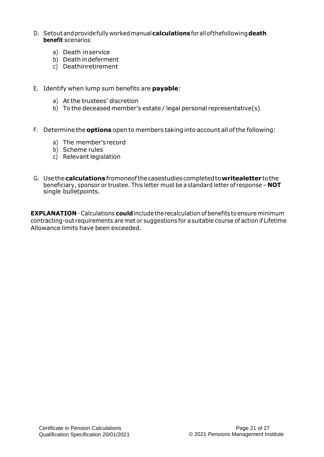- D. Setout andprovidefully workedmanual**calculations** forallofthefollowing**death benefit** scenarios:
	- a) Death inservice
	- b) Deathindeferment
	- c) Deathinretirement
- E. Identify when lump sum benefits are **payable**:
	- a) At the trustees' discretion
	- b) To the deceased member's estate / legal personal representative(s)
- F. Determine the **options** open to members taking into account all ofthe following:
	- a) The member's record
	- b) Scheme rules
	- c) Relevant legislation
- G. Usethe**calculations**fromoneofthecasestudiescompletedto**writealetter** tothe beneficiary, sponsor or trustee. This letter must be astandard letter of response – **NOT**  single bulletpoints.

**EXPLANATION** - Calculations **could** include the recalculation of benefits to ensure minimum contracting-out requirements are met or suggestions for a suitable course of action if Lifetime Allowance limits have been exceeded.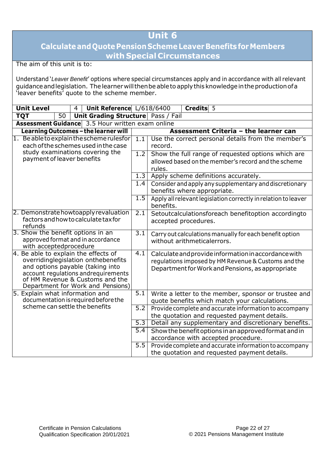### **CalculateandQuote PensionSchemeLeaver Benefits forMembers with Special Circumstances**

The aim of this unit is to:

Understand '*Leaver Benefit*' options where special circumstances apply and in accordance with all relevant guidanceandlegislation. The learner willthenbe ableto applythisknowledgeintheproductionofa 'leaver benefits' quote to the scheme member.

| <b>Unit Level</b>                                                             | $\overline{4}$ | Unit Reference L/618/6400          |                  | Credits 5                                                      |  |  |  |  |
|-------------------------------------------------------------------------------|----------------|------------------------------------|------------------|----------------------------------------------------------------|--|--|--|--|
| <b>TQT</b><br>$\overline{50}$                                                 |                | Unit Grading Structure Pass / Fail |                  |                                                                |  |  |  |  |
| Assessment Guidance 3.5 Hour written exam online                              |                |                                    |                  |                                                                |  |  |  |  |
| Learning Outcomes - the learner will                                          |                |                                    |                  | <b>Assessment Criteria - the learner can</b>                   |  |  |  |  |
| 1. Beableto explain the scheme rulesfor                                       |                |                                    | $\overline{1.1}$ | Use the correct personal details from the member's             |  |  |  |  |
| each of the schemes used in the case                                          |                |                                    |                  | record.                                                        |  |  |  |  |
| study examinations covering the                                               |                |                                    | $\overline{1.2}$ | Show the full range of requested options which are             |  |  |  |  |
| payment of leaver benefits                                                    |                |                                    |                  | allowed based on the member's record and the scheme            |  |  |  |  |
|                                                                               |                |                                    |                  | rules.                                                         |  |  |  |  |
|                                                                               |                |                                    | 1.3              | Apply scheme definitions accurately.                           |  |  |  |  |
|                                                                               |                |                                    | 1.4              | Consider and apply any supplementary and discretionary         |  |  |  |  |
|                                                                               |                |                                    |                  | benefits where appropriate.                                    |  |  |  |  |
|                                                                               |                |                                    | 1.5              | Apply all relevant legislation correctly in relation to leaver |  |  |  |  |
|                                                                               |                |                                    |                  | benefits.                                                      |  |  |  |  |
| 2. Demonstrate howtoapply revaluation<br>factors and how to calculate tax for |                |                                    | 2.1              | Setoutcalculationsforeach benefitoption accordingto            |  |  |  |  |
| refunds                                                                       |                |                                    |                  | accepted procedures.                                           |  |  |  |  |
| 3. Show the benefit options in an                                             |                |                                    | $\overline{3.1}$ | Carry out calculations manually for each benefit option        |  |  |  |  |
| approved format and in accordance                                             |                |                                    |                  | without arithmeticalerrors.                                    |  |  |  |  |
| with acceptedprocedure                                                        |                |                                    |                  |                                                                |  |  |  |  |
| 4. Be able to explain the effects of                                          |                |                                    | 4.1              | Calculate and provide information in accordance with           |  |  |  |  |
| overridinglegislation onthebenefits                                           |                |                                    |                  | regulations imposed by HM Revenue & Customs and the            |  |  |  |  |
| and options payable (taking into                                              |                |                                    |                  | Department for Work and Pensions, as appropriate               |  |  |  |  |
| account regulations andrequirements<br>of HM Revenue & Customs and the        |                |                                    |                  |                                                                |  |  |  |  |
| Department for Work and Pensions)                                             |                |                                    |                  |                                                                |  |  |  |  |
| 5. Explain what information and                                               |                |                                    | 5.1              | Write a letter to the member, sponsor or trustee and           |  |  |  |  |
| documentation is required before the                                          |                |                                    |                  | quote benefits which match your calculations.                  |  |  |  |  |
| scheme can settle the benefits                                                |                |                                    | 5.2              | Provide complete and accurate information to accompany         |  |  |  |  |
|                                                                               |                |                                    |                  | the quotation and requested payment details.                   |  |  |  |  |
|                                                                               |                |                                    | $\overline{5.3}$ | Detail any supplementary and discretionary benefits.           |  |  |  |  |
|                                                                               |                |                                    | $\overline{5.4}$ | Show the benefit options in an approved format and in          |  |  |  |  |
|                                                                               |                |                                    |                  | accordance with accepted procedure.                            |  |  |  |  |
|                                                                               |                |                                    | 5.5              | Provide complete and accurate information to accompany         |  |  |  |  |
|                                                                               |                |                                    |                  | the quotation and requested payment details.                   |  |  |  |  |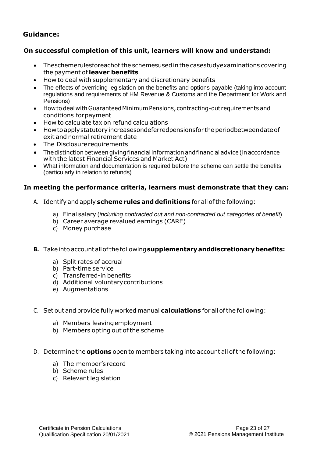#### **On successful completion of this unit, learners will know and understand:**

- Theschemerulesforeachof the schemesusedinthe casestudyexaminations covering the payment of **leaver benefits**
- How to deal with supplementary and discretionary benefits
- The effects of overriding legislation on the benefits and options payable (taking into account regulations and requirements of HM Revenue & Customs and the Department for Work and Pensions)
- Howto deal withGuaranteedMinimumPensions, contracting-out requirements and conditions forpayment
- How to calculate tax on refund calculations
- How to apply statutory increasesondeferredpensionsfor the periodbetween date of exit and normal retirement date
- The Disclosure requirements
- The distinction between giving financial information and financial advice (in accordance with the latest Financial Services and Market Act)
- What information and documentation is required before the scheme can settle the benefits (particularly in relation to refunds)

#### **In meeting the performance criteria, learners must demonstrate that they can:**

- A. Identify and apply **scheme rules anddefinitions** for allofthe following:
	- a) Final salary (*including contracted out and non-contracted out categories of benefit*)
	- b) Career average revalued earnings (CARE)
	- c) Money purchase

#### **B.** Takeinto accountallofthe following**supplementaryanddiscretionarybenefits:**

- a) Split rates of accrual
- b) Part-time service
- c) Transferred-in benefits
- d) Additional voluntarycontributions
- e) Augmentations
- C. Set outand provide fully worked manual **calculations** for all ofthe following:
	- a) Members leavingemployment
	- b) Members opting out of the scheme
- D. Determine the **options** open to members taking into account all ofthe following:
	- a) The member's record
	- b) Scheme rules
	- c) Relevant legislation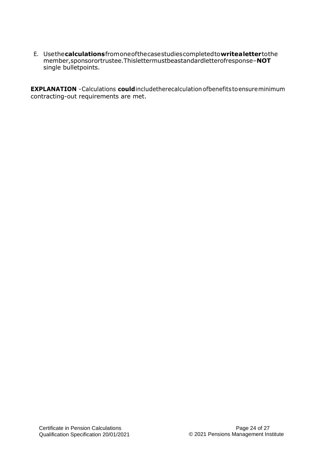E. Usethe**calculations**fromoneofthecasestudiescompletedto**writealetter**tothe member,sponsorortrustee.Thislettermustbeastandardletterofresponse–**NOT**  single bulletpoints.

**EXPLANATION** -Calculations **could**includetherecalculationofbenefitstoensureminimum contracting-out requirements are met.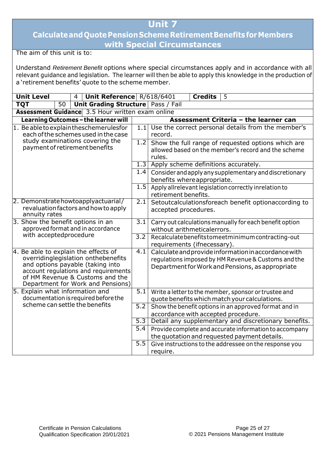### **CalculateandQuotePensionSchemeRetirementBenefits forMembers with Special Circumstances**

The aim of this unit is to:

Understand *Retirement Benefit* options where special circumstances apply and in accordance with all relevant guidance and legislation. The learner will then be able to apply this knowledge in the production of a 'retirement benefits' quote to the scheme member.

| <b>Unit Level</b>                                                       | $\overline{4}$                                                                                 | Unit Reference R/618/6401                   |                                                                                     |                                                       | <b>Credits</b>                                                                                         | 5                                     |                                                         |  |  |
|-------------------------------------------------------------------------|------------------------------------------------------------------------------------------------|---------------------------------------------|-------------------------------------------------------------------------------------|-------------------------------------------------------|--------------------------------------------------------------------------------------------------------|---------------------------------------|---------------------------------------------------------|--|--|
| <b>TQT</b><br>$\overline{50}$                                           |                                                                                                | <b>Unit Grading Structure   Pass / Fail</b> |                                                                                     |                                                       |                                                                                                        |                                       |                                                         |  |  |
| Assessment Guidance 3.5 Hour written exam online                        |                                                                                                |                                             |                                                                                     |                                                       |                                                                                                        |                                       |                                                         |  |  |
| Learning Outcomes - the learner will                                    |                                                                                                |                                             |                                                                                     |                                                       |                                                                                                        | Assessment Criteria - the learner can |                                                         |  |  |
| 1. Be able to explain theschemerulesfor                                 |                                                                                                |                                             | 1.1                                                                                 |                                                       |                                                                                                        |                                       | Use the correct personal details from the member's      |  |  |
| each of the schemes used in the case                                    |                                                                                                |                                             |                                                                                     | record.                                               |                                                                                                        |                                       |                                                         |  |  |
| study examinations covering the                                         |                                                                                                |                                             | 1.2                                                                                 | Show the full range of requested options which are    |                                                                                                        |                                       |                                                         |  |  |
| payment of retirement benefits                                          |                                                                                                |                                             |                                                                                     |                                                       | allowed based on the member's record and the scheme                                                    |                                       |                                                         |  |  |
|                                                                         |                                                                                                |                                             |                                                                                     | rules.                                                |                                                                                                        |                                       |                                                         |  |  |
|                                                                         |                                                                                                |                                             | 1.3                                                                                 | Apply scheme definitions accurately.                  |                                                                                                        |                                       |                                                         |  |  |
|                                                                         |                                                                                                |                                             | 1.4                                                                                 |                                                       |                                                                                                        |                                       | Consider and apply any supplementary and discretionary  |  |  |
|                                                                         |                                                                                                |                                             |                                                                                     | benefits where appropriate.                           |                                                                                                        |                                       |                                                         |  |  |
|                                                                         |                                                                                                |                                             | 1.5                                                                                 | Apply allrelevant legislation correctly inrelation to |                                                                                                        |                                       |                                                         |  |  |
| 2. Demonstrate howtoapplyactuarial/                                     |                                                                                                |                                             |                                                                                     | retirement benefits.                                  |                                                                                                        |                                       |                                                         |  |  |
| revaluation factors and how to apply                                    |                                                                                                |                                             | 2.1<br>Setoutcalculationsforeach benefit optionaccording to<br>accepted procedures. |                                                       |                                                                                                        |                                       |                                                         |  |  |
| annuity rates                                                           |                                                                                                |                                             |                                                                                     |                                                       |                                                                                                        |                                       |                                                         |  |  |
| 3. Show the benefit options in an                                       |                                                                                                |                                             | $\overline{3.1}$                                                                    |                                                       |                                                                                                        |                                       | Carry out calculations manually for each benefit option |  |  |
| approved format and in accordance                                       |                                                                                                |                                             |                                                                                     | without arithmeticalerrors.                           |                                                                                                        |                                       |                                                         |  |  |
| with acceptedprocedure                                                  |                                                                                                |                                             | $\overline{3.2}$                                                                    |                                                       | Recalculate benefits to meet minimum contracting-out                                                   |                                       |                                                         |  |  |
|                                                                         |                                                                                                |                                             |                                                                                     | requirements (ifnecessary).                           |                                                                                                        |                                       |                                                         |  |  |
| 4. Be able to explain the effects of                                    |                                                                                                |                                             | 4.1                                                                                 |                                                       |                                                                                                        |                                       | Calculate and provide information in accordance with    |  |  |
| overridinglegislation onthebenefits<br>and options payable (taking into |                                                                                                |                                             |                                                                                     |                                                       |                                                                                                        |                                       | regulations imposed by HM Revenue & Customs and the     |  |  |
|                                                                         |                                                                                                | account regulations and requirements        |                                                                                     | Department for Work and Pensions, as appropriate      |                                                                                                        |                                       |                                                         |  |  |
| of HM Revenue & Customs and the                                         |                                                                                                |                                             |                                                                                     |                                                       |                                                                                                        |                                       |                                                         |  |  |
|                                                                         |                                                                                                | Department for Work and Pensions)           |                                                                                     |                                                       |                                                                                                        |                                       |                                                         |  |  |
| 5. Explain what information and                                         |                                                                                                |                                             | $\overline{5.1}$                                                                    | Write a letter to the member, sponsor or trustee and  |                                                                                                        |                                       |                                                         |  |  |
| documentation is required before the                                    |                                                                                                |                                             |                                                                                     | quote benefits which match your calculations.         |                                                                                                        |                                       |                                                         |  |  |
|                                                                         | scheme can settle the benefits<br>5.2<br>Show the benefit options in an approved format and in |                                             |                                                                                     |                                                       |                                                                                                        |                                       |                                                         |  |  |
|                                                                         | accordance with accepted procedure.                                                            |                                             |                                                                                     |                                                       |                                                                                                        |                                       |                                                         |  |  |
|                                                                         |                                                                                                |                                             | 5.3                                                                                 | Detail any supplementary and discretionary benefits.  |                                                                                                        |                                       |                                                         |  |  |
|                                                                         |                                                                                                |                                             | 5.4                                                                                 |                                                       | Provide complete and accurate information to accompany<br>the quotation and requested payment details. |                                       |                                                         |  |  |
|                                                                         |                                                                                                |                                             | $\overline{5.5}$                                                                    |                                                       |                                                                                                        |                                       |                                                         |  |  |
|                                                                         |                                                                                                |                                             |                                                                                     |                                                       |                                                                                                        |                                       | Give instructions to the addressee on the response you  |  |  |
|                                                                         |                                                                                                |                                             |                                                                                     | require.                                              |                                                                                                        |                                       |                                                         |  |  |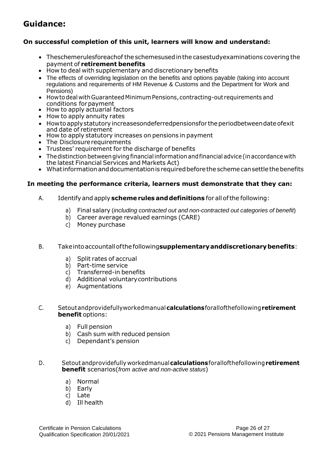#### **On successful completion of this unit, learners will know and understand:**

- Theschemerulesforeachof the schemesusedinthe casestudyexaminations covering the payment of **retirement benefits**
- How to deal with supplementary and discretionary benefits
- The effects of overriding legislation on the benefits and options payable (taking into account regulations and requirements of HM Revenue & Customs and the Department for Work and Pensions)
- Howtodeal withGuaranteedMinimumPensions, contracting-out requirements and conditions forpayment
- How to apply actuarial factors
- How to apply annuity rates
- How to apply statutory increasesondeferredpensionsfor the periodbetween date ofexit and date of retirement
- How to apply statutory increases on pensions in payment
- The Disclosure requirements
- Trustees' requirement for the discharge of benefits
- The distinction between giving financial information and financial advice (in accordance with the latest Financial Services and Markets Act)
- What information and documentation is required before the scheme can settle the benefits

#### **In meeting the performance criteria, learners must demonstrate that they can:**

- A. Identifyand apply **schemerules anddefinitions** for allofthe following:
	- a) Final salary (*including contracted out and non-contracted out categories of benefit*)
	- b) Career average revalued earnings (CARE)
	- c) Money purchase
- B. Takeintoaccountallofthefollowing**supplementaryanddiscretionarybenefits**:
	- a) Split rates of accrual
	- b) Part-time service
	- c) Transferred-in benefits
	- d) Additional voluntarycontributions
	- e) Augmentations
- C. Setoutandprovidefullyworkedmanual**calculations**forallofthefollowing**retirement benefit** options:
	- a) Full pension
	- b) Cash sum with reduced pension
	- c) Dependant's pension
- D. Setoutandprovidefully workedmanual**calculations**forallofthefollowing**retirement benefit** scenarios(*from active and non-active status*)
	- a) Normal
	- b) Early
	- c) Late
	- d) Ill health